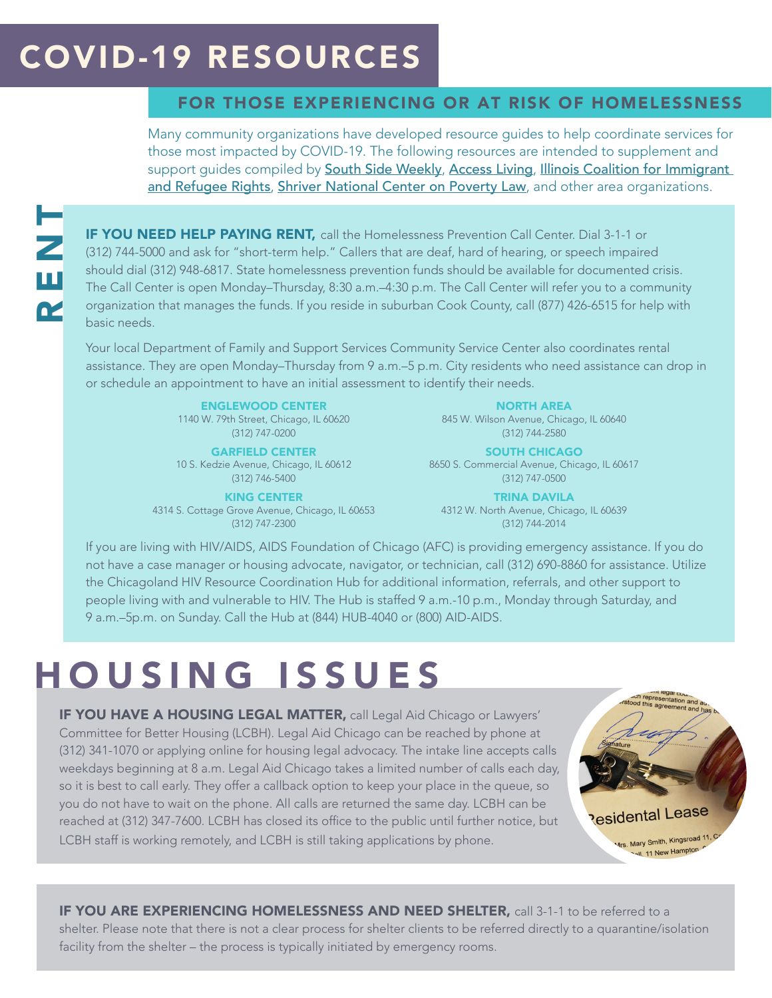#### COVID-19 RESOURCES

#### FOR THOSE EXPERIENCING OR AT RISK OF HOMELESSNESS

Many community organizations have developed resource guides to help coordinate services for those most impacted by COVID-19. The following resources are intended to supplement and support guides compiled by [South Side Weekly](https://southsideweekly.com/covid-19-south-side-community-resource-guide/), [Access Living](https://www.accessliving.org/our-services/covid-19-resources-for-the-disability-community/), Illinois Coalition for Immigrant [and Refugee Rights](https://www.accessliving.org/our-services/covid-19-resources-for-the-disability-community/), [Shriver National Center on Poverty Law](https://www.povertylaw.org/article/covid-19-resources-for-individuals-and-families-in-illinois/), and other area organizations.

IF YOU NEED HELP PAYING RENT, call the Homelessness Prevention Call Center. Dial 3-1-1 or (312) 744-5000 and ask for "short-term help." Callers that are deaf, hard of hearing, or speech impaired should dial (312) 948-6817. State homelessness prevention funds should be available for documented crisis. The Call Center is open Monday–Thursday, 8:30 a.m.–4:30 p.m. The Call Center will refer you to a community organization that manages the funds. If you reside in suburban Cook County, call (877) 426-6515 for help with basic needs.

Your local Department of Family and Support Services Community Service Center also coordinates rental assistance. They are open Monday–Thursday from 9 a.m.–5 p.m. City residents who need assistance can drop in or schedule an appointment to have an initial assessment to identify their needs.

> ENGLEWOOD CENTER 1140 W. 79th Street, Chicago, IL 60620 (312) 747-0200

GARFIELD CENTER 10 S. Kedzie Avenue, Chicago, IL 60612 (312) 746-5400

KING CENTER 4314 S. Cottage Grove Avenue, Chicago, IL 60653 (312) 747-2300

NORTH AREA 845 W. Wilson Avenue, Chicago, IL 60640 (312) 744-2580

SOUTH CHICAGO 8650 S. Commercial Avenue, Chicago, IL 60617 (312) 747-0500

> TRINA DAVILA 4312 W. North Avenue, Chicago, IL 60639 (312) 744-2014

If you are living with HIV/AIDS, AIDS Foundation of Chicago (AFC) is providing emergency assistance. If you do not have a case manager or housing advocate, navigator, or technician, call (312) 690-8860 for assistance. Utilize the Chicagoland HIV Resource Coordination Hub for additional information, referrals, and other support to people living with and vulnerable to HIV. The Hub is staffed 9 a.m.-10 p.m., Monday through Saturday, and 9 a.m.–5p.m. on Sunday. Call the Hub at (844) HUB-4040 or (800) AID-AIDS.

### HOUSING ISSUES

**IF YOU HAVE A HOUSING LEGAL MATTER, call Legal Aid Chicago or Lawyers'** Committee for Better Housing (LCBH). Legal Aid Chicago can be reached by phone at (312) 341-1070 or applying online for housing legal advocacy. The intake line accepts calls weekdays beginning at 8 a.m. Legal Aid Chicago takes a limited number of calls each day, so it is best to call early. They offer a callback option to keep your place in the queue, so you do not have to wait on the phone. All calls are returned the same day. LCBH can be reached at (312) 347-7600. LCBH has closed its office to the public until further notice, but LCBH staff is working remotely, and LCBH is still taking applications by phone.

oh representation and ad<br>lot this agreement and administration **Residental Lease** Mrs. Mary Smith, Kingsroad 11, C all, 11 New Hampton

IF YOU ARE EXPERIENCING HOMELESSNESS AND NEED SHELTER, call 3-1-1 to be referred to a shelter. Please note that there is not a clear process for shelter clients to be referred directly to a quarantine/isolation facility from the shelter – the process is typically initiated by emergency rooms.